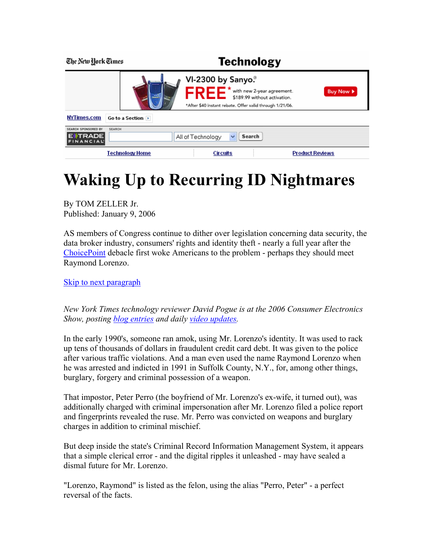| The New York Times                   | <b>Technology</b>                                                                                                                                                      |
|--------------------------------------|------------------------------------------------------------------------------------------------------------------------------------------------------------------------|
|                                      | VI-2300 by Sanyo.<br>FREE <sup>*</sup> with new 2-year agreement.<br>Buy Now $\blacktriangleright$<br>$-1$<br>*After \$40 instant rebate. Offer valid through 1/21/06. |
| NYTimes.com                          | Go to a Section $\blacktriangleright$                                                                                                                                  |
| SEARCH SPONSORED BY<br><b>SEARCH</b> |                                                                                                                                                                        |
| <b>EXTRADE</b><br><b>FINANCIAL</b>   | Search<br>All of Technology                                                                                                                                            |
|                                      | Technology Home<br>Circuits<br><b>Product Reviews</b>                                                                                                                  |

## **Waking Up to Recurring ID Nightmares**

By TOM ZELLER Jr. Published: January 9, 2006

AS members of Congress continue to dither over legislation concerning data security, the data broker industry, consumers' rights and identity theft - nearly a full year after the ChoicePoint debacle first woke Americans to the problem - perhaps they should meet Raymond Lorenzo.

Skip to next paragraph

*New York Times technology reviewer David Pogue is at the 2006 Consumer Electronics Show, posting blog entries and daily video updates.*

In the early 1990's, someone ran amok, using Mr. Lorenzo's identity. It was used to rack up tens of thousands of dollars in fraudulent credit card debt. It was given to the police after various traffic violations. And a man even used the name Raymond Lorenzo when he was arrested and indicted in 1991 in Suffolk County, N.Y., for, among other things, burglary, forgery and criminal possession of a weapon.

That impostor, Peter Perro (the boyfriend of Mr. Lorenzo's ex-wife, it turned out), was additionally charged with criminal impersonation after Mr. Lorenzo filed a police report and fingerprints revealed the ruse. Mr. Perro was convicted on weapons and burglary charges in addition to criminal mischief.

But deep inside the state's Criminal Record Information Management System, it appears that a simple clerical error - and the digital ripples it unleashed - may have sealed a dismal future for Mr. Lorenzo.

"Lorenzo, Raymond" is listed as the felon, using the alias "Perro, Peter" - a perfect reversal of the facts.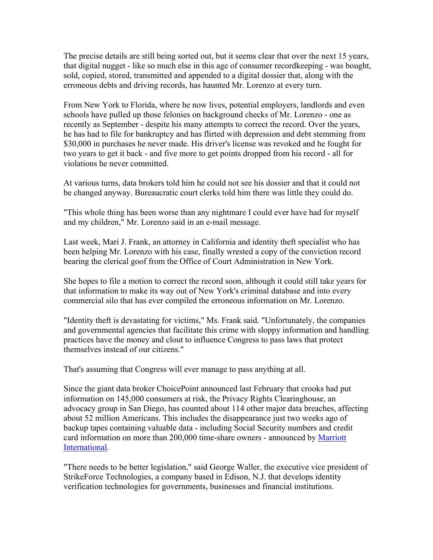The precise details are still being sorted out, but it seems clear that over the next 15 years, that digital nugget - like so much else in this age of consumer recordkeeping - was bought, sold, copied, stored, transmitted and appended to a digital dossier that, along with the erroneous debts and driving records, has haunted Mr. Lorenzo at every turn.

From New York to Florida, where he now lives, potential employers, landlords and even schools have pulled up those felonies on background checks of Mr. Lorenzo - one as recently as September - despite his many attempts to correct the record. Over the years, he has had to file for bankruptcy and has flirted with depression and debt stemming from \$30,000 in purchases he never made. His driver's license was revoked and he fought for two years to get it back - and five more to get points dropped from his record - all for violations he never committed.

At various turns, data brokers told him he could not see his dossier and that it could not be changed anyway. Bureaucratic court clerks told him there was little they could do.

"This whole thing has been worse than any nightmare I could ever have had for myself and my children," Mr. Lorenzo said in an e-mail message.

Last week, Mari J. Frank, an attorney in California and identity theft specialist who has been helping Mr. Lorenzo with his case, finally wrested a copy of the conviction record bearing the clerical goof from the Office of Court Administration in New York.

She hopes to file a motion to correct the record soon, although it could still take years for that information to make its way out of New York's criminal database and into every commercial silo that has ever compiled the erroneous information on Mr. Lorenzo.

"Identity theft is devastating for victims," Ms. Frank said. "Unfortunately, the companies and governmental agencies that facilitate this crime with sloppy information and handling practices have the money and clout to influence Congress to pass laws that protect themselves instead of our citizens."

That's assuming that Congress will ever manage to pass anything at all.

Since the giant data broker ChoicePoint announced last February that crooks had put information on 145,000 consumers at risk, the Privacy Rights Clearinghouse, an advocacy group in San Diego, has counted about 114 other major data breaches, affecting about 52 million Americans. This includes the disappearance just two weeks ago of backup tapes containing valuable data - including Social Security numbers and credit card information on more than 200,000 time-share owners - announced by Marriott International.

"There needs to be better legislation," said George Waller, the executive vice president of StrikeForce Technologies, a company based in Edison, N.J. that develops identity verification technologies for governments, businesses and financial institutions.